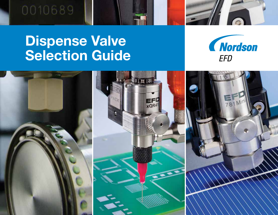

# Dispense Valve Selection Guide



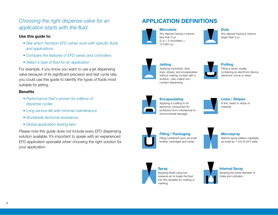*Choosing the right dispense valve for an application starts with the fluid.*

#### Use this guide to:

- *See which Nordson EFD valves work with specific fluids and applications*
- *Compare the features of EFD valves and controllers*
- *Select a type of fluid for an application*

For example, if you know you want to use a jet dispensing valve because of its significant precision and fast cycle rate, you could use this guide to identify the types of fluids most suitable for jetting.

#### **Benefits**

- *Performance that's proven for millions of dispense cycles*
- *Long service life with minimal maintenance*
- *Worldwide technical assistance*
- *Global application testing labs*

Please note this guide does not include every EFD dispensing solution available. It's important to speak with an experienced EFD application specialist when choosing the right solution for your application.

## APPLICATION DEFINITIONS



**Microdots** Any deposit having a volume less than 5 ul.  $(5 \text{ µ} = 5 \text{ microliters} =$ 5/1000 cc)



Dots Any deposit having a volume larger than 5  $\mu$ .



**Jetting** Applying microdots, dots, lines, stripes, and encapsulates without making contact with a surface—also called noncontact dispensing.



Potting Filling a cavity usually containing an electronic device, electronic circuit or wires.



**Encapsulating** Applying a coating to an electronic component for protection from mechanical or environmental damage.



Lines / Stripes A line, bead or stripe of material.



Filling / Packaging Filling containers such as small bottles, cartridges and tubes.



**Microspray** Narrow spray pattern capability as small as 1 mm (0.04") wide.



Spray Applying fluids using low pressure air to break the fluid into fine droplets for coating or marking.

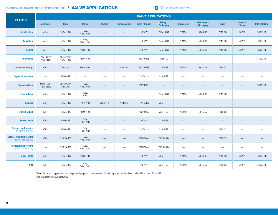#### DISPENSE VALVE SELECTION GUIDE / VALVE APPLICATIONS

1 2 CONTINUES ON NEXT PAGE

|                                                          | <b>VALVE APPLICATIONS</b>             |                                      |                        |                          |                          |                          |                               |                                |                                   |                          |                                 |                      |  |  |
|----------------------------------------------------------|---------------------------------------|--------------------------------------|------------------------|--------------------------|--------------------------|--------------------------|-------------------------------|--------------------------------|-----------------------------------|--------------------------|---------------------------------|----------------------|--|--|
| <b>FLUIDS</b>                                            | <b>Microdots<sup>1</sup></b>          | <b>Dots</b>                          | <b>Jetting</b>         | <b>Potting</b>           | <b>Encapsulating</b>     | <b>Lines / Stripes</b>   | Filling /<br><b>Packaging</b> | <b>Microspray</b>              | 316L Aseptic<br><b>Microspray</b> | <b>Spray</b>             | <b>Internal</b><br><b>Spray</b> | <b>Internal Band</b> |  |  |
| <b>Accelerators</b>                                      | xQR41                                 | 752V-UHSS                            | Pulse,<br>P-Jet, P-Dot |                          | $\overline{\phantom{m}}$ | xQR41V                   | 752V-UHSS                     | 781Mini                        | 784S-SS                           | 781S-SS                  | 782RA                           | 7860C-RS             |  |  |
| <b>Activators</b>                                        | xQR41                                 | 752V-UHSS                            | Pulse,<br>P-Jet, P-Dot | $\overline{\phantom{0}}$ |                          | xQR41V                   | 752V-UHSS                     | 781Mini                        | 784S-SS                           | 781S-SS                  | 782RA                           | 7860C-RS             |  |  |
| <b>Alcohol</b>                                           | xQR41                                 | 752V-UHSS                            | Pulse, P-Jet           |                          |                          | xQR41V                   | 752V-UHSS                     | 781Mini                        | 784S-SS                           | 781S-SS                  | 782RA                           | 7860C-RS             |  |  |
| <b>Anaerobics</b>                                        | xQR41 PEEK, <sup>2</sup><br>752V-UHSS | QR41 PEEK, <sup>2</sup><br>752V-UHSS | Pulse, P-Jet           |                          |                          | 752V-UHSS                | 725HF-A                       |                                |                                   | $\overline{\phantom{a}}$ | $\overline{\phantom{a}}$        | 7860C-RS             |  |  |
| <b>Conformal Coatings</b>                                | xQR41                                 | 752V-UHSS                            | Pulse, P-Jet           |                          | 752V-UHSS                | 752V-UHSS                | 725HF-SS                      | 781Mini                        | 784S-SS                           | 781S-SS                  | $\hspace{0.1mm}-\hspace{0.1mm}$ |                      |  |  |
| <b>Copper Braze Paste</b>                                | $\qquad \qquad -$                     | 725DA-SS                             |                        | $\overline{\phantom{0}}$ |                          | 725DA-SS                 | 725HF-SS                      |                                |                                   |                          | $\overline{\phantom{a}}$        |                      |  |  |
| <b>Cyanoacrylates</b>                                    | QR41 PEEK, <sup>2</sup><br>752V-UHSS  | QR41 PEEK, <sup>2</sup><br>752V-UHSS | Pulse,<br>P-Jet, P-Dot |                          | $\qquad \qquad -$        | 752V-UHSS                |                               |                                |                                   |                          |                                 | 7860C-RS             |  |  |
| <b>Electrolytes</b>                                      | xQR41                                 | 752V-UHSS                            | Pulse,<br>P-Jet        |                          | $\qquad \qquad -$        | $\overline{\phantom{m}}$ | 752V-UHSS                     | 781Mini                        | 784S-SS                           | 781S-SS                  | $\overline{\phantom{a}}$        |                      |  |  |
| <b>Epoxies</b>                                           | xQR41                                 | 752V-UHSS                            | Pulse, P-Dot           | 725DA-SS                 | 725DA-SS                 | 725DA-SS                 | 725HF-SS                      |                                |                                   |                          |                                 |                      |  |  |
| <b>Fluxes, Liquid</b>                                    | xQR41                                 | 752V-UHSS                            | Pulse, P-Jet           |                          | $\qquad \qquad -$        | 752V-UHSS                | 725HF-SS                      | 781Mini                        | 784S-SS                           | 781S-SS                  |                                 |                      |  |  |
| <b>Fluxes, Paste</b>                                     | xQR41                                 | 725DA-SS                             | Pulse,<br>P-Jet, P-Dot |                          | $\qquad \qquad -$        | 725DA-SS                 | 725HF-SS                      | $\overline{\phantom{0}}$       |                                   |                          |                                 |                      |  |  |
| <b>Grease: Low Pressure</b><br>(to 7.0 bar, 100 psi)     | xQR41                                 | 725DA-SS                             | Pulse,<br>P-Jet, P-Dot |                          | $\qquad \qquad -$        | 725DA-SS                 | 725HF-SS                      | $\qquad \qquad \longleftarrow$ | $\qquad \qquad -$                 | 781S-SS                  | $\qquad \qquad -$               |                      |  |  |
| <b>Grease: Medium Pressure</b><br>(to 20.7 bar, 300 psi) | xQR41                                 | 736HPA-NV                            | Pulse,<br>P-Jet, P-Dot |                          | $\qquad \qquad -$        | 736HPA-NV                | 736HPA-NV                     |                                |                                   | 781S-SS                  |                                 |                      |  |  |
| <b>Grease: High Pressure</b><br>(to 172 bar, 2500 psi)   | $\overline{\phantom{m}}$              | 736HPA-NV                            | Pulse,<br>P-Jet, P-Dot |                          | $\qquad \qquad -$        | 736HPA-NV                | 736HPA-NV                     |                                |                                   |                          | $\overline{\phantom{a}}$        |                      |  |  |
| <b>Inks / Paints</b>                                     | xQR41                                 | 752V-UHSS                            | Pulse, P-Jet           | $\qquad \qquad$          | $\qquad \qquad -$        | xQR41V                   | 725HF-SS                      | 781Mini                        | 784S-SS                           | 781S-SS                  | 782RA                           | 7860C-RS             |  |  |
| <b>Oils</b>                                              | xQR41                                 | 752V-UHSS                            | Pulse,<br>P-Jet, P-Dot |                          | $\qquad \qquad -$        | xQR41V                   | 725HF-SS                      | 781Mini                        | 784S-SS                           | 781S-SS                  | 782RA                           | 7860C-RS             |  |  |

<sup>1</sup> Note: For microdot applications requiring general purpose tip sizes between 27 and 33 gauge, specify valve model xQR41 in place of 741V-SS. 2 Conditional use with cyanoacrylates.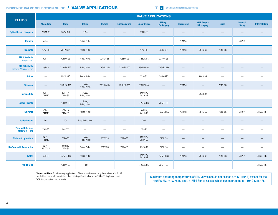#### DISPENSE VALVE SELECTION GUIDE / VALVE APPLICATIONS

**1** 2 CONTINUED FROM PREVIOUS PAGE

|                                                    | <b>VALVE APPLICATIONS</b>       |                                 |                          |                |                                 |                          |                                 |                                 |                                   |                                 |                                 |                      |  |  |
|----------------------------------------------------|---------------------------------|---------------------------------|--------------------------|----------------|---------------------------------|--------------------------|---------------------------------|---------------------------------|-----------------------------------|---------------------------------|---------------------------------|----------------------|--|--|
| <b>FLUIDS</b>                                      | <b>Microdots</b>                | <b>Dots</b>                     | <b>Jetting</b>           | <b>Potting</b> | <b>Encapsulating</b>            | <b>Lines/Stripes</b>     | Filling /<br><b>Packaging</b>   | <b>Microspray</b>               | 316L Aseptic<br><b>Microspray</b> | <b>Spray</b>                    | <b>Internal</b><br><b>Spray</b> | <b>Internal Band</b> |  |  |
| <b>Optical Dyes / Lacquers</b>                     | 702M-SS                         | 702M-SS                         | Pulse                    |                | $\overline{\phantom{m}}$        | 702M-SS                  | $\overline{\phantom{m}}$        |                                 | $\qquad \qquad$                   | $\overline{\phantom{m}}$        |                                 |                      |  |  |
| <b>Primers</b>                                     | xQR41                           | $\hspace{0.1mm}-\hspace{0.1mm}$ | Pulse, P-Jet             |                |                                 | $\overline{\phantom{m}}$ | $\qquad \qquad -$               | 781 Mini                        | $\qquad \qquad -$                 | $\qquad \qquad -$               | 782RA                           |                      |  |  |
| <b>Reagents</b>                                    | 754V-SS1                        | 754V-SS <sup>1</sup>            | Pulse, P-Jet             |                | $\hspace{0.1mm}-\hspace{0.1mm}$ | 754V-SS <sup>1</sup>     | 754V-SS <sup>1</sup>            | 781Mini                         | 784S-SS                           | 781S-SS                         | $\hspace{0.1mm}-\hspace{0.1mm}$ |                      |  |  |
| <b>RTV / Sealants</b><br>low pressure              | xQR41                           | 725DA-SS                        | P-Jet, P-Dot             | 725DA-SS       | 725DA-SS                        | 725DA-SS                 | 725HF-SS                        | $\overline{\phantom{m}}$        | $\qquad \qquad -$                 | $\hspace{0.1mm}-\hspace{0.1mm}$ | $\hspace{0.1mm}-\hspace{0.1mm}$ | —                    |  |  |
| <b>RTV / Sealants</b><br>medium / high pressure    | xQR41 <sup>2</sup>              | 736HPA-NV                       | P-Jet, P-Dot             | 736HPA-NV      | 736HPA-NV                       | 736HPA-NV                | 736HPA-NV                       | —                               |                                   | $\hspace{0.1mm}-\hspace{0.1mm}$ |                                 |                      |  |  |
| <b>Saline</b>                                      | $\overline{\phantom{m}}$        | 754V-SS <sup>1</sup>            | Pulse, P-Jet             |                | $\qquad \qquad \longleftarrow$  | 754V-SS1                 | 754V-SS1                        | $\overline{\phantom{0}}$        | 784S-SS                           |                                 |                                 |                      |  |  |
| <b>Silicones</b>                                   | $\hspace{0.1mm}-\hspace{0.1mm}$ | 736HPA-NV                       | Pulse,<br>P-Jet, P-Dot   | 736HPA-NV      | 736HPA-NV                       | 736HPA-NV                | $\hspace{0.1mm}-\hspace{0.1mm}$ | 781Mini                         | $\hspace{0.05cm}$                 | 781S-SS                         |                                 |                      |  |  |
| <b>Silicone Oils</b>                               | xQR41<br>741MD                  | xQR41V,<br>741V-SS              | Pulse,<br>P-Jet, P-Dot   |                | $\overline{\phantom{m}}$        | xQR41V,<br>741V-SS       | $\qquad \qquad -$               | $\overline{\phantom{m}}$        | 784S-SS                           | $\overline{\phantom{m}}$        | $\overline{\phantom{m}}$        | —                    |  |  |
| <b>Solder Resists</b>                              | $\hspace{0.05cm}$               | 725DA-SS                        | Pulse,<br>P-Jet, P-Dot   |                | $\overline{\phantom{m}}$        | 725DA-SS                 | 725HF-SS                        | —                               | $\qquad \qquad \longleftarrow$    | $\qquad \qquad$                 |                                 |                      |  |  |
| <b>Solvents</b>                                    | xQR41<br>741MD                  | xQR41V,<br>741V-SS              | Pulse, P-Jet             |                | $\overline{\phantom{m}}$        | xQR41V,<br>741V-SS       | 752V-UHSS                       | 781 Mini                        | 784S-SS                           | 781S-SS                         | 782RA                           | 7860C-RS             |  |  |
| <b>Solder Pastes</b>                               | 794                             | 794                             | P-Jet SolderPlus         |                |                                 | 794                      |                                 |                                 |                                   |                                 |                                 |                      |  |  |
| <b>Thermal Interface</b><br><b>Materials (TIM)</b> | 794-TC                          | 794-TC                          | $\overline{\phantom{m}}$ |                | $\hspace{0.1mm}-\hspace{0.1mm}$ | 794-TC                   |                                 | $\overline{\phantom{m}}$        |                                   | $\overline{\phantom{m}}$        | $\sim$                          | --                   |  |  |
| <b>UV-Cure &amp; Light-Cure</b>                    | xQR41,<br>741MD                 | 752V-SS                         | Pulse,<br>P-Jet, P-Dot   | 752V-SS        | 752V-SS                         | xQR41V,<br>752V-SS       | 725HF-A                         |                                 |                                   |                                 |                                 |                      |  |  |
| <b>UV-Cure with Anaerobics</b>                     | xQR41,<br>752V-SS               | xQR41,<br>752V-SS               | Pulse, P-Jet             | 752V-SS        | 752V-SS                         | 752V-SS                  | 725HF-A                         | $\hspace{0.1mm}-\hspace{0.1mm}$ |                                   | $\hspace{0.1mm}-\hspace{0.1mm}$ | $\overline{\phantom{a}}$        | $\qquad \qquad$      |  |  |
| <b>Water</b>                                       | xQR41                           | 752V-UHSS                       | Pulse, P-Jet             |                | $\qquad \qquad -$               | xQR41V,<br>741V-SS       | 752V-UHSS                       | 781Mini                         | 784S-SS                           | 781S-SS                         | 782RA                           | 7860C-RS             |  |  |
| <b>White Glue</b>                                  | $\overline{\phantom{m}}$        | 725DA-SS                        | P-Jet                    |                | $\hspace{0.1mm}-\hspace{0.1mm}$ | 725DA-SS                 | 725HF-SS                        | $\overline{\phantom{a}}$        |                                   | $\overline{\phantom{0}}$        | $\overline{\phantom{a}}$        | 7860C-RS             |  |  |

<sup>1</sup> Important Note: For dispensing applications of low- to medium-viscosity fluids where a 316L SS wetted fluid body with aseptic fluid flow path is preferred, choose the 754V-SS diaphragm valve.<br>
<sup>2</sup> xQR41 for medium pressure only.

Maximum operating temperatures of EFD valves should not exceed 43° C (110° F) except for the 736HPA-NV, 741V, 781S, and 781Mini Series valves, which can operate up to 110° C (215° F).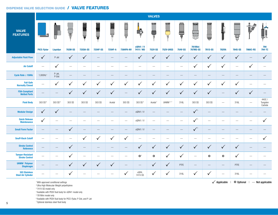#### DISPENSE VALVE SELECTION GUIDE / VALVE FEATURES

|                                                     | <b>VALVES</b>                                       |                          |                          |                          |                          |                          |                                |                                |                          |                          |                          |                                          |                          |                          |                          |                          |                              |
|-----------------------------------------------------|-----------------------------------------------------|--------------------------|--------------------------|--------------------------|--------------------------|--------------------------|--------------------------------|--------------------------------|--------------------------|--------------------------|--------------------------|------------------------------------------|--------------------------|--------------------------|--------------------------|--------------------------|------------------------------|
| <b>VALVE</b><br><b>FEATURES</b>                     | 6,<br>$\overline{\bullet}$ $\overline{\phantom{a}}$ | └━                       | Ţ                        | Ŧ                        | ¥                        | W                        | ⋿<br>$\Box$<br>븝               | ļe,                            | <br>W                    |                          | Ţ                        | <u>Wikimi</u><br>$\overline{\mathbb{Q}}$ | $\triangleleft$          |                          | Ţ                        |                          |                              |
|                                                     | <b>PICO Pulse</b>                                   | Liquidyn                 | <b>702M-SS</b>           | <b>725DA-SS</b>          | <b>725HF-SS</b>          | <b>725HF-A</b>           | 736HPA-NV                      | xQR41 / V<br>741V / MD         | <b>752V-SS</b>           | <b>752V-UHSS</b>         | <b>754V-SS</b>           | 781 Mini<br><b>787MS-SS</b>              | <b>781S-SS</b>           | <b>782RA</b>             | <b>784S-SS</b>           | 7860C-RS                 | 794<br><b>794-TC</b>         |
| <b>Adjustable Fluid Flow</b>                        | $\checkmark$                                        | P-Jet                    | $\checkmark$             | $\checkmark$             |                          |                          |                                | $\checkmark$                   | $\sqrt{}$                | $\checkmark$             | $\checkmark$             | $\checkmark$                             | $\checkmark$             | $\checkmark$             | $\sqrt{}$                | $\frac{1}{2}$            | $\checkmark$                 |
| <b>Air Cutoff</b>                                   | $\overline{\phantom{m}}$                            | $\checkmark$             | $\overline{\phantom{m}}$ | $\overline{\phantom{m}}$ | $\overline{\phantom{0}}$ | $\overline{\phantom{m}}$ | $\qquad \qquad \longleftarrow$ | $\qquad \qquad \longleftarrow$ | $\qquad \qquad -$        | $\qquad \qquad -$        | $\overline{\phantom{m}}$ | $\checkmark$                             | $\checkmark$             | $\checkmark$             | $\overline{\phantom{m}}$ | $\checkmark$             | $\overline{\phantom{0}}$     |
| Cycle Rate $\geq 150$ Hz                            | 1,000Hz <sup>1</sup>                                | P-Jet,<br>P-Dot          |                          |                          | $\overline{\phantom{0}}$ |                          |                                |                                | $\overline{\phantom{0}}$ | $\overline{\phantom{0}}$ |                          |                                          | $\qquad \qquad$          |                          |                          |                          |                              |
| <b>Fail-Safe</b><br><b>Normally Closed</b>          | $\frac{1}{2}$                                       | $\checkmark$             | $\checkmark$             | $\checkmark$             | ✓                        | $\checkmark$             | $\checkmark$                   | $\checkmark$                   | $\checkmark$             | $\checkmark$             | ✓                        | $\checkmark$                             | $\checkmark$             | $\checkmark$             | $\checkmark$             | $\overline{\phantom{m}}$ |                              |
| <b>FDA-Compliant</b><br><b>Wetted Parts</b>         |                                                     |                          | $\checkmark$             | $\checkmark$             | $\checkmark$             | $\checkmark$             | $\qquad \qquad -$              | $\checkmark$                   | $\checkmark$             | $\checkmark$             | $\checkmark$             | $\checkmark$                             | $\checkmark$             |                          | $\checkmark$             | $\checkmark$             |                              |
| <b>Fluid Body</b>                                   | 303 SS <sup>6</sup>                                 | 303 SS <sup>6</sup>      | 303 SS                   | 303 SS                   | 303 SS                   | Acetal                   | 303 SS                         | 303 SS <sup>4</sup>            | Acetal <sup>7</sup>      | UHMW <sup>2/7</sup>      | 316L                     | 303 SS                                   | 303 SS                   | $\overline{\phantom{m}}$ | 316L                     | $\overline{\phantom{m}}$ | 440C/<br>Tungsten<br>Carbide |
| <b>Modular Design</b>                               | $\checkmark$                                        | $\checkmark$             | $\overline{\phantom{0}}$ |                          |                          |                          |                                | xQR41 / V                      | $\overline{\phantom{a}}$ |                          | $\overline{\phantom{m}}$ | $\checkmark$ <sup>5</sup>                | $\qquad \qquad -$        |                          |                          |                          |                              |
| <b>Quick Release</b><br><b>Maintenance</b>          | ✓                                                   | $\overline{\phantom{m}}$ | $\overline{\phantom{a}}$ | $\overline{\phantom{m}}$ | $\overline{\phantom{m}}$ | $\overline{\phantom{m}}$ |                                | xQR41 / V                      | $\overline{\phantom{a}}$ |                          | $\overline{\phantom{m}}$ | $\checkmark$                             | $\overline{\phantom{0}}$ | $\frac{1}{2}$            |                          |                          | $\checkmark$                 |
| <b>Small Form Factor</b>                            |                                                     | $\overline{\phantom{0}}$ | $\checkmark$             | $\overline{\phantom{0}}$ |                          |                          |                                | xQR41 / V                      |                          | —                        | $\overline{\phantom{0}}$ | $\sqrt{2}$                               |                          |                          |                          |                          |                              |
| <b>Snuff-Back Cutoff</b>                            | $\overline{\phantom{m}}$                            | $\overline{\phantom{m}}$ | $\overline{\phantom{m}}$ | $\checkmark$             | ✓                        | $\checkmark$             | $\checkmark$                   |                                | $\overline{\phantom{a}}$ |                          |                          | $\hspace{0.1mm}-\hspace{0.1mm}$          | $\overline{\phantom{0}}$ | $\overline{\phantom{0}}$ |                          | $\overline{\phantom{0}}$ | $\checkmark$                 |
| <b>Stroke Control</b><br><b>Reference</b>           |                                                     | $\qquad \qquad -$        | $\checkmark$             | $\overline{\phantom{0}}$ |                          |                          |                                | $\checkmark$                   | ✓                        | $\checkmark$             | $\checkmark$             | $\checkmark$                             | $\checkmark$             | $\checkmark$             | $\checkmark$             |                          |                              |
| <b>Tamper-Resistant</b><br><b>Stroke Control</b>    | $\overline{\phantom{m}}$                            |                          | $\checkmark$             | $\overline{\phantom{m}}$ | $\overline{\phantom{0}}$ | $\overline{\phantom{m}}$ | $\overline{\phantom{m}}$       | $\mathbf{O}^3$                 | $\circ$                  | $\checkmark$             | ✓                        | $\overline{\phantom{m}}$                 | $\circ$                  | $\mathbf{o}$             | $\checkmark$             | $\overline{\phantom{0}}$ |                              |
| <b>UHMW<sup>2</sup> Polymer</b><br><b>Diaphragm</b> | $\qquad \qquad -$                                   | $\qquad \qquad -$        | $\checkmark$             | $\sqrt{}$                | $\checkmark$             | $\checkmark$             | $\qquad \qquad -$              | $\qquad \qquad -$              | $\checkmark$             | $\checkmark$             | PTFE                     |                                          |                          | $\overline{\phantom{m}}$ | PTFE                     |                          |                              |
| 303 Stainless<br><b>Steel Air Cylinder</b>          |                                                     |                          | $\checkmark$             | $\overline{\phantom{0}}$ | $\overline{\phantom{0}}$ | $\overline{\phantom{m}}$ | $\checkmark$                   | xQR4,<br>741V-SS               | $\checkmark$             | $\checkmark$             | 316L                     | ✓                                        | $\checkmark$             | $\overline{\phantom{m}}$ | 316L                     | $\overline{\phantom{m}}$ | $\overline{\phantom{a}}$     |

1 With approved conditional settings

2 Ultra High Molecular Weight polyethylene

3 741V-SS model only

4 Available with PEEK fluid body for xQR41 model only

5 781Mini model only

6 Available with PEEK fluid body for PICO *Pμlse*, P-Dot, and P-Jet

7 Optional stainless steel fluid body

 $\checkmark$  Applicable | **O** Optional | — Not applicable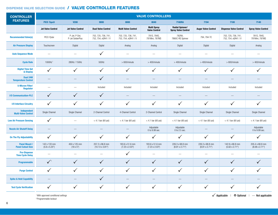### DISPENSE VALVE SELECTION GUIDE / VALVE CONTROLLER FEATURES

| <b>CONTROLLER</b>                                | <b>VALVE CONTROLLERS</b>             |                                   |                                                  |                                            |                                            |                                                      |                                          |                                            |                                          |  |  |  |  |  |
|--------------------------------------------------|--------------------------------------|-----------------------------------|--------------------------------------------------|--------------------------------------------|--------------------------------------------|------------------------------------------------------|------------------------------------------|--------------------------------------------|------------------------------------------|--|--|--|--|--|
| <b>FEATURES</b>                                  | PICO Touch                           | <b>V200</b>                       | 9000                                             | 8000                                       | 8040                                       | <b>7160RA</b>                                        | 7194                                     | 7100                                       | 7140                                     |  |  |  |  |  |
|                                                  | <b>Jet Valve Control</b>             | <b>Jet Valve Control</b>          | <b>Dual Valve Control</b>                        | <b>Multi Valve Control</b>                 | <b>Multi Spray</b><br><b>Valve Control</b> | <b>Radial Spinner/</b><br><b>Spray Valve Control</b> | <b>Auger Valve Control</b>               | <b>Dispense Valve Control</b>              | <b>Spray Valve Control</b>               |  |  |  |  |  |
| <b>Recommended Valve(s)</b>                      | PICO Pulse                           | P-Jet, P-Dot,<br>P-Jet SolderPlus | 702, 725, 736, 741,<br>752, 754, xQR41 / V       | 702, 725, 736, 741,<br>752, 754, xQR41 / V | 781S, 784S,<br>781 Mini, 787 MS            | 782RA,<br>7860C-RS Spinner                           | 794, 794-TC                              | 702, 725, 736, 741,<br>752, 754, xQR41 / V | 781S, 784S,<br>781 Mini, 787 MS          |  |  |  |  |  |
| <b>Air Pressure Display</b>                      | Touchscreen                          | Digital                           | Digital                                          | Analog                                     | Analog                                     | Digital                                              | Digital                                  | Digital                                    | Analog                                   |  |  |  |  |  |
| <b>Auto Sequence Mode</b>                        | $\overline{\phantom{m}}$             |                                   | $\checkmark$                                     | $\hspace{0.1mm}-\hspace{0.1mm}$            | $\hspace{0.1mm}-\hspace{0.1mm}$            | $\hspace{0.1mm}-\hspace{0.1mm}$                      | $\hspace{0.1mm}-\hspace{0.1mm}$          |                                            | $\hspace{0.1mm}-\hspace{0.1mm}$          |  |  |  |  |  |
| <b>Cycle Rate</b>                                | 1000Hz <sup>1</sup>                  | 280Hz / 150Hz                     | 500Hz                                            | $>600/m$ inute                             | $>400/m$ inute                             | $>400/m$ inute                                       | $>400/m$ inute                           | $>600/m$ inute                             | $>400/m$ inute                           |  |  |  |  |  |
| <b>Digital Time Set</b><br>& Display             | ✓                                    | $\checkmark$                      | $\checkmark$                                     | $\checkmark$                               | ✓                                          | $\checkmark$                                         | $\checkmark$                             | ✓                                          | ✓                                        |  |  |  |  |  |
| Dual 24W<br><b>Temperature Control</b>           |                                      |                                   | ✓                                                |                                            | $\overline{\phantom{m}}$                   |                                                      |                                          |                                            |                                          |  |  |  |  |  |
| 5-Micron Filter/<br><b>Regulator</b>             | $\overline{\phantom{0}}$             | $\frac{1}{2}$                     | Included                                         | Included                                   | Included                                   | Included                                             | Included                                 | Included                                   | Included                                 |  |  |  |  |  |
| <b>I/O Communication-PLC</b>                     | $\checkmark$                         | $\checkmark$                      | $\checkmark$                                     |                                            |                                            |                                                      |                                          |                                            |                                          |  |  |  |  |  |
| <b>I/O Interface Circuitry</b>                   | ✓                                    | ✓                                 | $\checkmark$                                     | $\checkmark$                               | ✓                                          | $\checkmark$                                         | $\checkmark$                             | ✓                                          | ✓                                        |  |  |  |  |  |
| Independent<br><b>Multi-Valve Control</b>        | Single Channel                       | Single Channel                    | 2-Channel Control                                | 4-Channel Control                          | 2-Channel Control                          | Single Channel                                       | Single Channel                           | Single Channel                             | Single Channel                           |  |  |  |  |  |
| <b>Low Air Pressure Sensing</b>                  | ✓                                    | $\overline{\phantom{a}}$          | $<$ 4.1 bar (60 psi)                             | $<$ 4.1 bar (60 psi)                       | $< 4.1$ bar (60 psi)                       | $< 4.1$ bar (60 psi)                                 | $<$ 4.1 bar (60 psi)                     | $<$ 4.1 bar (60 psi)                       | $< 4.1$ bar (60 psi)                     |  |  |  |  |  |
| <b>Nozzle Air Shutoff Delay</b>                  | $\qquad \qquad \longleftarrow$       |                                   |                                                  |                                            | Adjustable<br>0 to 9.99 sec.               | Adjustable<br>0 to 2.5 sec.                          | $\hspace{0.1mm}-\hspace{0.1mm}$          | $\hspace{0.1mm}-\hspace{0.1mm}$            | Adjustable<br>0 to 9.99 sec.             |  |  |  |  |  |
| <b>On The Fly Adjustability</b>                  | $\checkmark$                         | $\checkmark$                      | $\checkmark$                                     | $\checkmark$                               | ✓                                          | $\checkmark$                                         | ✓                                        | $\checkmark$                               | $\checkmark$                             |  |  |  |  |  |
| <b>Panel Mount /</b><br><b>Panel Cutout Size</b> | 142 x 133 mm<br>$(5.6 \times 5.25")$ | 450 x 125 mm<br>$(18 \times 5")$  | 257.2 x 96.8 mm<br>$(10.13 \times 3.81^{\circ})$ | 183.6 x 51.6 mm<br>$(7.23 \times 2.03")$   | 183.6 x 51.6 mm<br>$(7.23 \times 2.03")$   | 226.3 x 68.8 mm<br>$(8.91 \times 2.71")$             | 226.3 x 68.8 mm<br>$(8.91 \times 2.71")$ | 142.9 x 68.8 mm<br>$(5.62 \times 2.71")$   | 205.4 x 68.8 mm<br>$(8.08 \times 2.71")$ |  |  |  |  |  |
| <b>Pre-Dispense</b><br><b>Time Cycle Delay</b>   | $\overline{\phantom{0}}$             |                                   | $\overline{\phantom{m}}$                         | $\checkmark$                               | $\overline{\phantom{a}}$                   |                                                      | $\hspace{0.1mm}-\hspace{0.1mm}$          | $\overline{\phantom{m}}$                   | $\overline{\phantom{0}}$                 |  |  |  |  |  |
| Programmable                                     | $\sqrt{2}$                           | $\checkmark$                      | $\checkmark$                                     | $\checkmark$                               | $\checkmark$                               | $\checkmark$                                         | $\checkmark$                             | $\checkmark$                               | $\checkmark$                             |  |  |  |  |  |
| <b>Purge Control</b>                             | $\checkmark$                         | $\checkmark$                      | $\checkmark$                                     | $\checkmark$                               | $\checkmark$                               | $\checkmark$                                         | $\checkmark$                             | $\checkmark$                               | $\checkmark$                             |  |  |  |  |  |
| <b>Spike &amp; Hold Capability</b>               |                                      |                                   | ✓                                                |                                            |                                            |                                                      |                                          |                                            |                                          |  |  |  |  |  |
| <b>Test Cycle Verification</b>                   | ✓                                    | $\checkmark$                      | ✓                                                | $\checkmark$                               | ✓                                          | $\checkmark$                                         | $\checkmark$                             | $\checkmark$                               | ✓                                        |  |  |  |  |  |

1 With approved conditional settings 2 Programmable lockout

 $\checkmark$  Applicable | **O** Optional | — Not applicable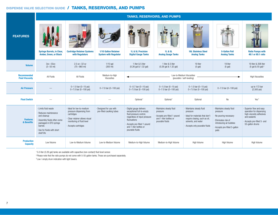### DISPENSE VALVE SELECTION GUIDE / TANKS, RESERVOIRS, AND PUMPS

|                                              | <b>TANKS, RESERVOIRS, AND PUMPS</b>                                                                                                                                             |                                                                                                                                                            |                                                             |                                                                                                                                                                                                               |                                                                                                                   |                                                                                                                                                                  |                                                                                                                                                         |                                                                                                                                                    |  |  |  |  |  |
|----------------------------------------------|---------------------------------------------------------------------------------------------------------------------------------------------------------------------------------|------------------------------------------------------------------------------------------------------------------------------------------------------------|-------------------------------------------------------------|---------------------------------------------------------------------------------------------------------------------------------------------------------------------------------------------------------------|-------------------------------------------------------------------------------------------------------------------|------------------------------------------------------------------------------------------------------------------------------------------------------------------|---------------------------------------------------------------------------------------------------------------------------------------------------------|----------------------------------------------------------------------------------------------------------------------------------------------------|--|--|--|--|--|
| <b>FEATURES</b>                              | <b>Syringe Barrels, in Clear,</b><br><b>Amber, Green, or Black</b>                                                                                                              | <b>Cartridge Retainer Systems</b><br>with Regulators                                                                                                       | <b>1/10 Gallon Retainer</b><br><b>System with Regulator</b> | 1L & 5L Precision<br><b>Digital Gauge Tanks</b>                                                                                                                                                               | 1L & 5L<br><b>Analog Guage Tanks</b>                                                                              | <b>19L Stainless Steel</b><br><b>Analog Tanks</b>                                                                                                                | <b>5-Gallon Pail</b><br><b>Analog Tanks</b>                                                                                                             | <b>Ratio Pumps with</b><br>48:1 or 65:1 ratio                                                                                                      |  |  |  |  |  |
|                                              |                                                                                                                                                                                 |                                                                                                                                                            |                                                             |                                                                                                                                                                                                               |                                                                                                                   |                                                                                                                                                                  |                                                                                                                                                         |                                                                                                                                                    |  |  |  |  |  |
| <b>Volume</b>                                | $3cc-55cc$<br>$(3 - 55$ ml)                                                                                                                                                     | $2.5$ oz $-32$ oz<br>$(75 - 960$ ml)                                                                                                                       | $1/10$ gal<br>$(300 \text{ ml})$                            | 1 liter & 5 liter<br>(0.26 gal & 1.32 gal)                                                                                                                                                                    | 1 liter & 5 liter<br>(0.26 gal & 1.32 gal)                                                                        | 19 liter<br>$(5$ gal)                                                                                                                                            | 19 liter<br>$(5$ gal)                                                                                                                                   | 19 liter & 208 liter<br>(5 gal & 55 gal) $^{2}$                                                                                                    |  |  |  |  |  |
| <b>Recommended</b><br><b>Fluid Viscosity</b> | All Fluids                                                                                                                                                                      | All Fluids                                                                                                                                                 | Medium-to-High<br>Viscosities                               |                                                                                                                                                                                                               |                                                                                                                   | Low-to-Medium Viscosities<br>(pourable / self-leveling)                                                                                                          | <b>High Viscosities</b>                                                                                                                                 |                                                                                                                                                    |  |  |  |  |  |
| <b>Air Pressure</b>                          |                                                                                                                                                                                 | $0-1.0$ bar $(0-15$ psi)<br>$0 - 7.0$ bar (0-100 psi)                                                                                                      | $0 - 7.0$ bar $(0 - 100$ psi)                               | $0 - 0.7$ bar (0-10 psi)<br>$0 - 7.0$ bar (0-100 psi)                                                                                                                                                         | $0 - 1.0$ bar (0-15 psi)<br>$0 - 7.0$ bar $(0 - 100$ psi)                                                         | $0-1.0$ bar $(0-15$ psi)<br>$0 - 7.0$ bar (0-100 psi)                                                                                                            | $0 - 7.0$ bar $(0 - 100$ psi)                                                                                                                           | up to 172 bar<br>$(2,500 \text{ psi})$                                                                                                             |  |  |  |  |  |
| <b>Float Switch</b>                          |                                                                                                                                                                                 |                                                                                                                                                            |                                                             | Optional <sup>1</sup>                                                                                                                                                                                         | Optional <sup>1</sup>                                                                                             | Optional                                                                                                                                                         | No                                                                                                                                                      | Yes <sup>3</sup>                                                                                                                                   |  |  |  |  |  |
| <b>Features</b><br>& Benefits                | · Limits fluid waste<br>· Reduces maintenance<br>and cleanup<br>· Assembly fluids often come<br>packaged in EFD syringe<br>barrels<br>· Use for fluids with short<br>shelf life | · Ideal for low-to-medium<br>pressure dispensing from<br>cartridges<br>· Clear retainer allows visual<br>monitoring of fluid level<br>· Accepts cartridges | · Designed for use with<br>pre-filled caulking tubes        | · Digital gauge delivers<br>exceptional full-to-empty<br>fluid pressure control,<br>regardless of input pressure<br>fluctuations<br>· Accepts pre-filled 1-pound<br>and 1-liter bottles or<br>pourable fluids | · Maintains steady fluid<br>pressure<br>· Accepts pre-filled 1-pound<br>and 1-liter bottles or<br>pourable fluids | · Maintains steady fluid<br>pressure<br>Ideal for materials that don't<br>require cleaing, such as oil,<br>solvents, and water<br>· Accepts only pourable fluids | · Maintains steady fluid<br>pressure<br>No pouring necessary<br>Eliminates risk of<br>introducing air bubbles<br>· Accepts pre-filled 5-gallon<br>pails | · Superior flow and easy<br>operation for dispensing<br>high-viscostiy adhesives<br>and sealants<br>· Accepts pre-filled 5- and<br>55-gallon drums |  |  |  |  |  |
| <b>Production</b><br><b>Capacity</b>         | I ow Volume                                                                                                                                                                     | Low-to-Medium Volume                                                                                                                                       | Low-to-Medium Volume                                        | Medium-to-High Volume                                                                                                                                                                                         | Medium-to-High Volume                                                                                             | High Volume                                                                                                                                                      | High Volume                                                                                                                                             | High Volume                                                                                                                                        |  |  |  |  |  |

1 5.0 liter (0.26 gal) tanks are available with capacitive (non-contact) fluid level sensor.

2 Please note that the ratio pumps do not come with 5-55 gallon tanks. Those are purchased separately.

3 Low / empty drum indication with light towers.